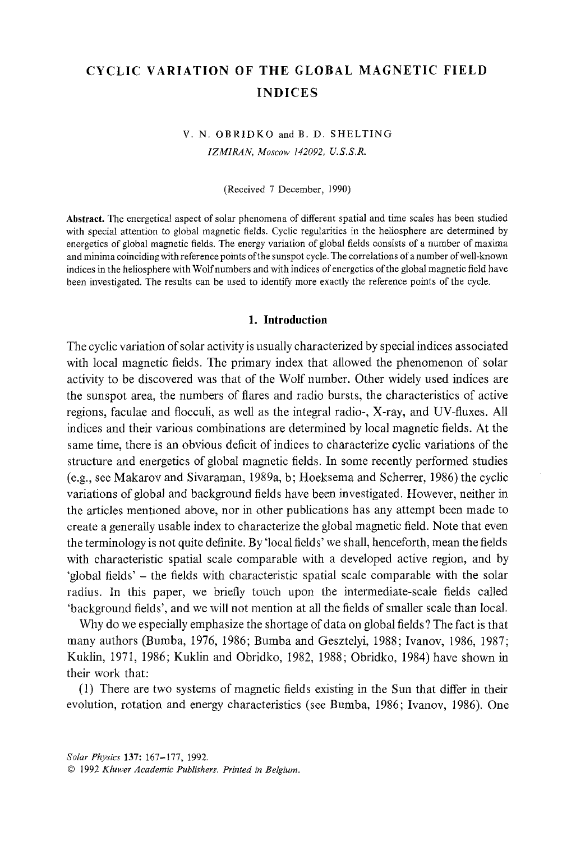## CYCLIC VARIATION OF THE GLOBAL MAGNETIC FIELD INDICES

### **V. N.** OBRIDKO andB. **D.** SHELTING *IZMIRAN, Moscow 142092, U.S.S.R.*

(Received 7 December, 1990)

Abstract. The energetical aspect of solar phenomena of different spatial and time scales has been studied with special attention to global magnetic fields, Cyclic regularities in the heliosphere are determined by energetics of global magnetic fields. The energy variation of global fields consists of a number of maxima and minima coinciding with reference points of the sunspot cycle. The correlations of a number of well-known indices in the heliosphere with Wolf numbers and with indices of energetics of the global magnetic field have been investigated. The results can be used to identify more exactly the reference points of the cycle.

#### **1. Introduction**

The cyclic variation of solar activity is usually characterized by special indices associated with local magnetic fields. The primary index that allowed the phenomenon of solar activity to be discovered was that of the Wolf number. Other widely used indices are the sunspot area, the numbers of flares and radio bursts, the characteristics of active regions, faculae and flocculi, as well as the integral radio-, X-ray, and UV-fluxes. All indices and their various combinations are determined by local magnetic fields. At the same time, there is an obvious deficit of indices to characterize cyclic variations of the structure and energetics of global magnetic fields. In some recently performed studies (e.g., see Makarov and Sivaraman, 1989a, b; Hoeksema and Scherrer, 1986) the cyclic variations of global and background fields have been investigated. However, neither in the articles mentioned above, nor in other publications has any attempt been made to create a generally usable index to characterize the global magnetic field. Note that even the terminology is not quite definite. By 'local fields' we shall, henceforth, mean the fields with characteristic spatial scale comparable with a developed active region, and by 'global fields' - the fields with characteristic spatial scale comparable with the solar radius. In this paper, we briefly touch upon the intermediate-scale fields called 'background fields', and we will not mention at all the fields of smaller scale than local.

Why do we especially emphasize the shortage of data on global fields? The fact is that many authors (Bumba, 1976, 1986; Bumba and Gesztelyi, 1988; Ivanov, 1986, 1987; Kuklin, 1971, 1986; Kuklin and Obridko, 1982, 1988; Obridko, 1984) have shown in their work that:

(1) There are two systems of magnetic fields existing in the Sun that differ in their evolution, rotation and energy characteristics (see Bumba, 1986; Ivanov, 1986). One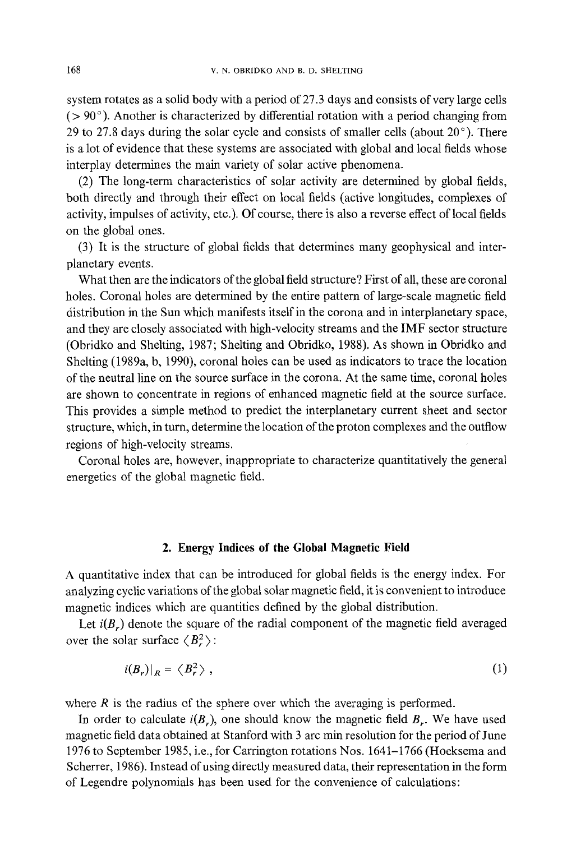system rotates as a solid body with a period of 27.3 days and consists of very large cells  $(> 90^{\circ})$ . Another is characterized by differential rotation with a period changing from 29 to 27.8 days during the solar cycle and consists of smaller cells (about  $20^{\circ}$ ). There is a lot of evidence that these systems are associated with global and local fields whose interplay determines the main variety of solar active phenomena.

(2) The long-term characteristics of solar activity are determined by global fields, both directly and through their effect on local fields (active longitudes, complexes of activity, impulses of activity, etc.). Of course, there is also a reverse effect of local fields on the global ones.

(3) It is the structure of global fields that determines many geophysical and interplanetary events.

What then are the indicators of the global field structure ? First of all, these are coronal holes. Coronal holes are determined by the entire pattern of large-scale magnetic field distribution in the Sun which manifests itself in the corona and in interplanetary space, and they are closely associated with high-velocity streams and the IMF sector structure (Obridko and Shelting, 1987; Shelting and Obridko, 1988). As shown in Obridko and Shelting (1989a, b, 1990), coronal holes can be used as indicators to trace the location of the neutral line on the source surface in the corona. At the same time, coronal holes are shown to concentrate in regions of enhanced magnetic field at the source surface. This provides a simple method to predict the interplanetary current sheet and sector structure, which, in turn, determine the location of the proton complexes and the outflow regions of high-velocity streams.

Coronal holes are, however, inappropriate to characterize quantitatively the general energetics of the global magnetic field.

#### **2. Energy Indices of the Global Magnetic Field**

A quantitative index that can be introduced for global fields is the energy index. For analyzing cyclic variations of the global solar magnetic field, it is convenient to introduce magnetic indices which are quantities defined by the global distribution.

Let  $i(B_r)$  denote the square of the radial component of the magnetic field averaged over the solar surface  $\langle B_r^2 \rangle$ :

$$
i(B_r)|_R = \langle B_r^2 \rangle \tag{1}
$$

where  $R$  is the radius of the sphere over which the averaging is performed.

In order to calculate  $i(B_r)$ , one should know the magnetic field  $B_r$ . We have used magnetic field data obtained at Stanford with 3 arc min resolution for the period of June 1976 to September 1985, i.e., for Carrington rotations Nos. 1641-1766 (Hoeksema and Scherrer, 1986). Instead of using directly measured data, their representation in the form of Legendre polynomials has been used for the convenience of calculations: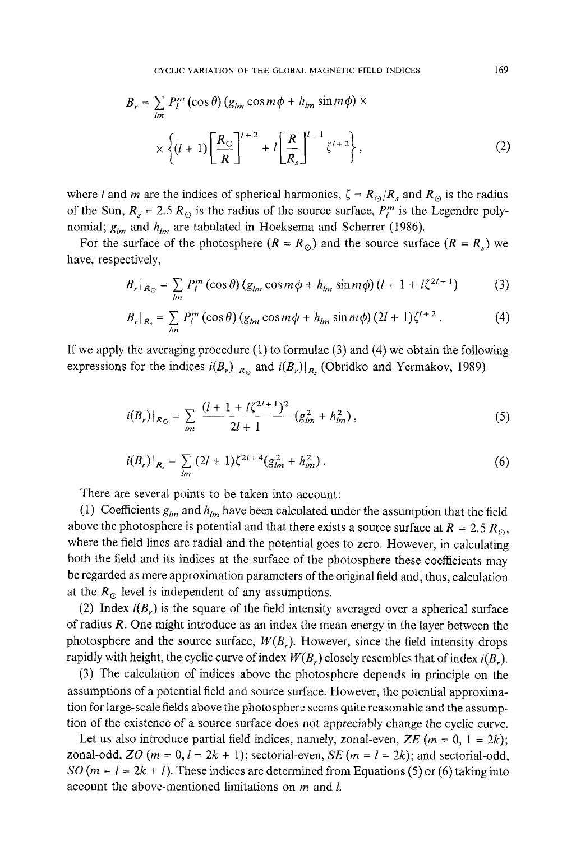$$
B_r = \sum_{lm} P_l^m (\cos \theta) (g_{lm} \cos m\phi + h_{lm} \sin m\phi) \times
$$
  
 
$$
\times \left\{ (l+1) \left[ \frac{R_{\odot}}{R} \right]^{l+2} + l \left[ \frac{R}{R_s} \right]^{l-1} \zeta^{l+2} \right\},
$$
 (2)

where *l* and *m* are the indices of spherical harmonics,  $\zeta = R_{\odot}/R_s$  and  $R_{\odot}$  is the radius of the Sun,  $R_s = 2.5 R_{\odot}$  is the radius of the source surface,  $P_l^m$  is the Legendre polynomial;  $g_{lm}$  and  $h_{lm}$  are tabulated in Hoeksema and Scherrer (1986).

For the surface of the photosphere  $(R = R_0)$  and the source surface  $(R = R_s)$  we have, respectively,

$$
B_r|_{R_{\odot}} = \sum_{lm} P_l^m \left(\cos\theta\right) \left(g_{lm}\cos m\phi + h_{lm}\sin m\phi\right) \left(l + 1 + l\zeta^{2l+1}\right) \tag{3}
$$

$$
B_r|_{R_s} = \sum_{lm} P_l^m (\cos \theta) (g_{lm} \cos m\phi + h_{lm} \sin m\phi) (2l+1) \zeta^{l+2}.
$$
 (4)

If we apply the averaging procedure (1) to formulae (3) and (4) we obtain the following expressions for the indices  $i(B_r)|_{R_{\Omega}}$  and  $i(B_r)|_{R_{\Omega}}$  (Obridko and Yermakov, 1989)

$$
i(B_r)|_{R_{\odot}} = \sum_{lm} \frac{(l+1+l\zeta^{2l+1})^2}{2l+1} (g_{lm}^2 + h_{lm}^2), \qquad (5)
$$

$$
i(B_r)|_{R_s} = \sum_{lm} (2l+1) \zeta^{2l+4} (g_{lm}^2 + h_{lm}^2).
$$
 (6)

There are several points to be taken into account:

(1) Coefficients  $g_{lm}$  and  $h_{lm}$  have been calculated under the assumption that the field above the photosphere is potential and that there exists a source surface at  $R = 2.5 R_{\odot}$ , where the field lines are radial and the potential goes to zero. However, in calculating both the field and its indices at the surface of the photosphere these coefficients may be regarded as mere approximation parameters of the original field and, thus, calculation at the  $R_{\odot}$  level is independent of any assumptions.

(2) Index  $i(B_r)$  is the square of the field intensity averaged over a spherical surface of radius R. One might introduce as an index the mean energy in the layer between the photosphere and the source surface,  $W(B_r)$ . However, since the field intensity drops rapidly with height, the cyclic curve of index  $W(B_r)$  closely resembles that of index  $i(B_r)$ .

(3) The calculation of indices above the photosphere depends in principle on the assumptions of a potential field and source surface. However, the potential approximation for large-scale fields above the photosphere seems quite reasonable and the assumption of the existence of a source surface does not appreciably change the cyclic curve.

Let us also introduce partial field indices, namely, zonal-even,  $ZE$  ( $m = 0$ ,  $1 = 2k$ ); zonal-odd, *ZO* ( $m = 0, l = 2k + 1$ ); sectorial-even, *SE* ( $m = l = 2k$ ); and sectorial-odd, *SO* ( $m = l = 2k + l$ ). These indices are determined from Equations (5) or (6) taking into account the above-mentioned limitations on m and l.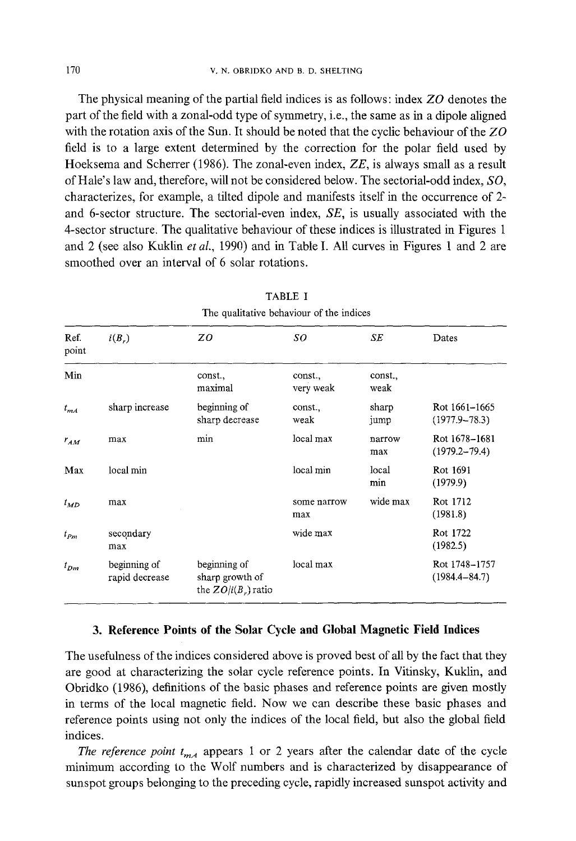The physical meaning of the partial field indices is as follows: index *ZO* denotes the part of the field with a zonal-odd type of symmetry, i.e., the same as in a dipole aligned with the rotation axis of the Sun. It should be noted that the cyclic behaviour of the *ZO*  field is to a large extent determined by the correction for the polar field used by Hoeksema and Scherrer (1986). The zonal-even index, *ZE,* is always small as a result of Hale's law and, therefore, will not be considered below. The sectorial-odd index, *SO,*  characterizes, for example, a tilted dipole and manifests itself in the occurrence of 2 and 6-sector structure. The sectorial-even index, *SE,* is usually associated with the 4-sector structure. The qualitative behaviour of these indices is illustrated in Figures 1 and 2 (see also Kuklin *et at.,* 1990) and in Table I. All curves in Figures 1 and 2 are smoothed over an interval of 6 solar rotations.

| The qualitative behaviour of the indices |                                |                                                          |                      |                 |                                    |  |  |
|------------------------------------------|--------------------------------|----------------------------------------------------------|----------------------|-----------------|------------------------------------|--|--|
| Ref.<br>point                            | $i(B_r)$                       | Z0                                                       | so                   | SE              | Dates                              |  |  |
| Min                                      |                                | const.,<br>maximal                                       | const.,<br>very weak | const.,<br>weak |                                    |  |  |
| $t_{mA}$                                 | sharp increase                 | beginning of<br>sharp decrease                           | const.<br>weak       | sharp<br>jump   | Rot 1661-1665<br>$(1977.9 - 78.3)$ |  |  |
| $r_{AM}$                                 | max                            | min                                                      | local max            | narrow<br>max   | Rot 1678-1681<br>$(1979.2 - 79.4)$ |  |  |
| Max                                      | local min                      |                                                          | local min            | local<br>min    | Rot 1691<br>(1979.9)               |  |  |
| $t_{MD}$                                 | max                            |                                                          | some narrow<br>max   | wide max        | Rot 1712<br>(1981.8)               |  |  |
| $t_{Pm}$                                 | secondary<br>max               |                                                          | wide max             |                 | Rot 1722<br>(1982.5)               |  |  |
| $t_{Dm}$                                 | beginning of<br>rapid decrease | beginning of<br>sharp growth of<br>the $ZO/i(B_r)$ ratio | local max            |                 | Rot 1748-1757<br>$(1984.4 - 84.7)$ |  |  |

# TABLE I

#### **3. Reference Points of the Solar Cycle and Global Magnetic Field Indices**

The usefulness of the indices considered above is proved best of all by the fact that they are good at characterizing the solar cycle reference points. In Vitinsky, Kuklin, and Obridko (1986), definitions of the basic phases and reference points are given mostly in terms of the local magnetic field. Now we can describe these basic phases and reference points using not only the indices of the local field, but also the global field indices.

*The reference point*  $t_{mA}$  appears 1 or 2 years after the calendar date of the cycle minimum according to the Wolf numbers and is characterized by disappearance of sunspot groups belonging to the preceding cycle, rapidly increased sunspot activity and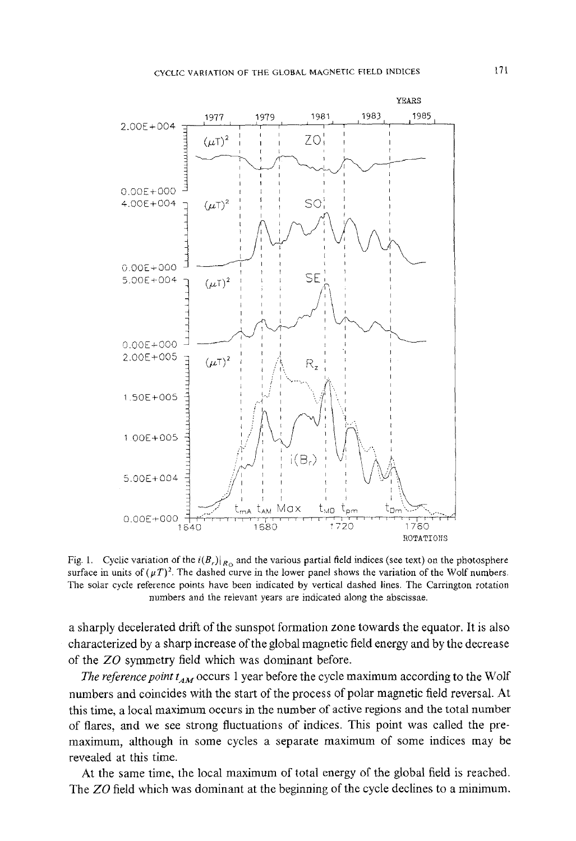

Fig. 1. Cyclic variation of the  $i(B_r)|_{R_{\Omega}}$  and the various partial field indices (see text) on the photosphere surface in units of  $(\mu T)^2$ . The dashed curve in the lower panel shows the variation of the Wolf numbers. **The solar cycle reference points have been indicated by vertical dashed lines. The Carrington rotation numbers and the relevant years are indicated along the abscissae,** 

**a sharply decelerated drift of the sunspot formation zone towards the equator. It is also characterized by a sharp increase of the global magnetic field energy and by the decrease of the** *ZO* **symmetry field which was dominant before.** 

*The reference point*  $t_{AM}$  occurs 1 year before the cycle maximum according to the Wolf **numbers and coincides with the start of the process of polar magnetic field reversal. At this time, a local maximum occurs in the number of active regions and the total number of flares, and we see strong fluctuations of indices. This point was called the premaximum, although in some cycles a separate maximum of some indices may be revealed at this time.** 

**At the same time, the local maximum of total energy of the global field is reached. The** *ZO* **field which was dominant at the beginning of the cycle declines to a minimum.**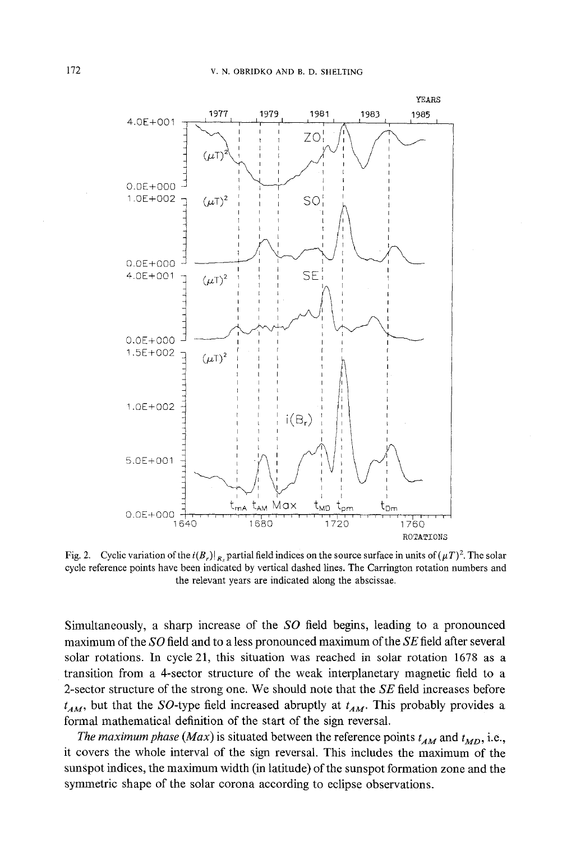

Fig. 2. Cyclic variation of the  $i(B_r)|_{R_r}$  partial field indices on the source surface in units of  $(\mu T)^2$ . The solar **cycle reference points have been indicated by vertical dashed lines. The Carrington rotation numbers and the relevant years are indicated along the abscissae.** 

**Simultaneously, a sharp increase of the** *SO* **field begins, leading to a pronounced maximum of the** *SO* **field and to a less pronounced maximum of the** *SE* **field after several solar rotations. In cycle 21, this situation was reached in solar rotation 1678 as a transition from a 4-sector structure of the weak interplanetary magnetic field to a 2-sector structure of the strong one. We should note that the** *SE* **field increases before**   $t_{AM}$ , but that the SO-type field increased abruptly at  $t_{AM}$ . This probably provides a **formal mathematical definition of the start of the sign reversal.** 

*The maximum phase (Max)* is situated between the reference points  $t_{AM}$  and  $t_{MD}$ , i.e., **it covers the whole interval of the sign reversal. This includes the maximum of the sunspot indices, the maximum width (in latitude) of the sunspot formation zone and the symmetric shape of the solar corona according to eclipse observations.**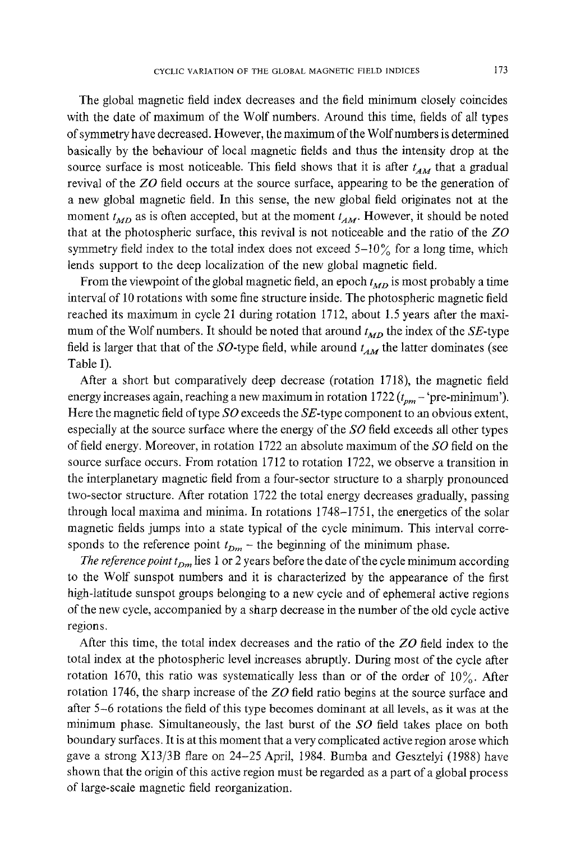The global magnetic field index decreases and the field minimum closely coincides with the date of maximum of the Wolf numbers. Around this time, fields of all types of symmetry have decreased. However, the maximum of the Wolf numbers is determined basically by the behaviour of local magnetic fields and thus the intensity drop at the source surface is most noticeable. This field shows that it is after  $t_{AM}$  that a gradual revival of the *ZO* field occurs at the source surface, appearing to be the generation of a new global magnetic field. In this sense, the new global field originates not at the moment  $t_{MD}$  as is often accepted, but at the moment  $t_{AM}$ . However, it should be noted that at the photospheric surface, this revival is not noticeable and the ratio of the *ZO*  symmetry field index to the total index does not exceed  $5-10\%$  for a long time, which lends support to the deep localization of the new global magnetic field.

From the viewpoint of the global magnetic field, an epoch  $t_{MD}$  is most probably a time interval of 10 rotations with some fine structure inside. The photospheric magnetic field reached its maximum in cycle 21 during rotation 1712, about 1.5 years after the maximum of the Wolf numbers. It should be noted that around  $t_{MD}$  the index of the *SE*-type field is larger that that of the  $SO$ -type field, while around  $t_{AM}$  the latter dominates (see Table I).

After a short but comparatively deep decrease (rotation 1718), the magnetic field energy increases again, reaching a new maximum in rotation  $1722 (t_{pm} - \text{pre-minimum}).$ Here the magnetic field of type *SO* exceeds the SE-type component to an obvious extent, especially at the source surface where the energy of the *SO* field exceeds all other types of field energy. Moreover, in rotation 1722 an absolute maximum of the *SO* field on the source surface occurs. From rotation 1712 to rotation 1722, we observe a transition in the interplanetary magnetic field from a four-sector structure to a sharply pronounced two-sector structure. After rotation 1722 the total energy decreases gradually, passing through local maxima and minima. In rotations 1748-1751, the energetics of the solar magnetic fields jumps into a state typical of the cycle minimum. This interval corresponds to the reference point  $t_{Dm}$  – the beginning of the minimum phase.

*The reference point t<sub>Dm</sub>* lies 1 or 2 years before the date of the cycle minimum according to the Wolf sunspot numbers and it is characterized by the appearance of the first high-latitude sunspot groups belonging to a new cycle and of ephemeral active regions of the new cycle, accompanied by a sharp decrease in the number of the old cycle active regions.

After this time, the total index decreases and the ratio of the *ZO* field index to the total index at the photospheric level increases abruptly. During most of the cycle after rotation 1670, this ratio was systematically less than or of the order of  $10\%$ . After rotation 1746, the sharp increase of the *ZO* field ratio begins at the source surface and after 5-6 rotations the field of this type becomes dominant at all levels, as it was at the minimum phase. Simultaneously, the last burst of the *SO* field takes place on both boundary surfaces. It is at this moment that a very complicated active region arose which gave a strong X13/3B flare on 24-25 April, 1984. Bumba and Gesztelyi (1988) have shown that the origin of this active region must be regarded as a part of a global process of large-scale magnetic field reorganization.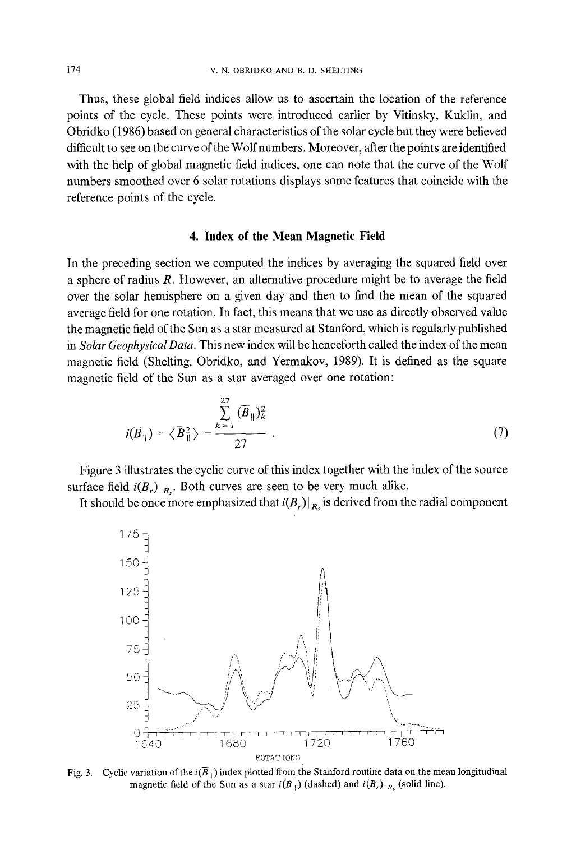Thus, these global field indices allow us to ascertain the location of the reference points of the cycle. These points were introduced earlier by Vitinsky, Kuklin, and Obridko (1986) based on general characteristics of the solar cycle but they were believed difficult to see on the curve of the Wolf numbers. Moreover, after the points are identified with the help of global magnetic field indices, one can note that the curve of the Wolf numbers smoothed over 6 solar rotations displays some features that coincide with the reference points of the cycle.

#### **4. Index of the Mean Magnetic Field**

In the preceding section we computed the indices by averaging the squared field over a sphere of radius R. However, an alternative procedure might be to average the field over the solar hemisphere on a given day and then to find the mean of the squared average field for one rotation. In fact, this means that we use as directly observed value the magnetic field of the Sun as a star measured at Stanford, which is regularly published in *Solar GeophysicalData.* This new index will be henceforth called the index of the mean magnetic field (Shelting, Obridko, and Yermakov, 1989). It is defined as the square magnetic field of the Sun as a star averaged over one rotation:

$$
i(\overline{B}_{\parallel}) = \langle \overline{B}_{\parallel}^2 \rangle = \frac{\sum_{k=1}^{27} (\overline{B}_{\parallel})_k^2}{27} . \tag{7}
$$

Figure 3 illustrates the cyclic curve of this index together with the index of the source surface field  $i(B_r)|_{R_r}$ . Both curves are seen to be very much alike.

It should be once more emphasized that  $i(B_r)|_{R_r}$  is derived from the radial component



Fig. 3. Cyclic variation of the  $i(\bar{B}_{\parallel})$  index plotted from the Stanford routine data on the mean longitudinal magnetic field of the Sun as a star  $i(\overline{B}_{\parallel})$  (dashed) and  $i(B_{r})|_{R_{\infty}}$  (solid line).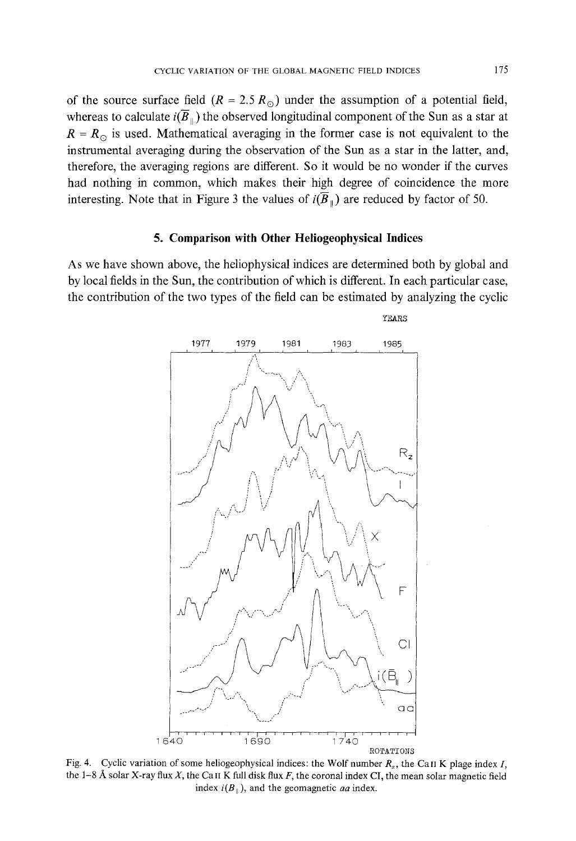of the source surface field  $(R = 2.5 R_{\odot})$  under the assumption of a potential field, whereas to calculate  $i(\overline{B}_{\parallel})$  the observed longitudinal component of the Sun as a star at  $R = R_{\odot}$  is used. Mathematical averaging in the former case is not equivalent to the instrumental averaging during the observation of the Sun as a star in the latter, and, therefore, the averaging regions are different. So it would be no wonder if the curves had nothing in common, which makes their high degree of coincidence the more interesting. Note that in Figure 3 the values of  $i(\overline{B}_{\parallel})$  are reduced by factor of 50.

#### **5. Comparison with Other Heliogeophysical Indices**

As we have shown above, the heliophysical indices are determined both by global and by local fields in the Sun, the contribution of which is different. In each particular case, the contribution of the two types of the field can be estimated by analyzing the cyclic



Fig. 4. Cyclic variation of some heliogeophysical indices: the Wolf number  $R_z$ , the CaII K plage index I, the 1-8 Å solar X-ray flux X, the Can K full disk flux F, the coronal index CI, the mean solar magnetic field index  $i(B_{\parallel})$ , and the geomagnetic *aa* index.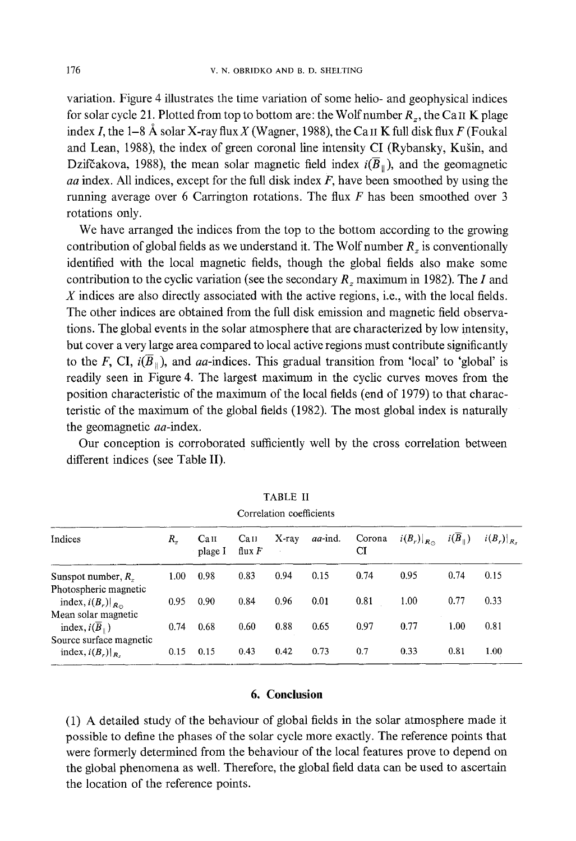variation. Figure 4 illustrates the time variation of some helio- and geophysical indices for solar cycle 21. Plotted from top to bottom are: the Wolf number  $R_z$ , the CaII K plage index I, the 1–8 Å solar X-ray flux X (Wagner, 1988), the CaII K full disk flux F (Foukal and Lean, 1988), the index of green coronal line intensity CI (Rybansky, Kušin, and Dzifčakova, 1988), the mean solar magnetic field index  $i(\overline{B}_{\parallel})$ , and the geomagnetic *aa* index. All indices, except for the full disk index F, have been smoothed by using the running average over 6 Carrington rotations. The flux  $F$  has been smoothed over 3 rotations only.

We have arranged the indices from the top to the bottom according to the growing contribution of global fields as we understand it. The Wolf number  $R_z$  is conventionally identified with the local magnetic fields, though the global fields also make some contribution to the cyclic variation (see the secondary *Rz* maximum in 1982). The I and X indices are also directly associated with the active regions, i.e., with the local fields. The other indices are obtained from the full disk emission and magnetic field observations. The global events in the solar atmosphere that are characterized by low intensity, but cover a very large area compared to local active regions must contribute significantly to the F, CI,  $i(\overline{B}_{\parallel})$ , and aa-indices. This gradual transition from 'local' to 'global' is readily seen in Figure 4. The largest maximum in the cyclic curves moves from the position characteristic of the maximum of the local fields (end of 1979) to that characteristic of the maximum of the global fields (1982). The most global index is naturally the geomagnetic *aa*-index.

Our conception is corroborated sufficiently well by the cross correlation between different indices (see Table II).

| Correlation coefficients                                |      |                 |                 |       |         |              |                       |                |                 |
|---------------------------------------------------------|------|-----------------|-----------------|-------|---------|--------------|-----------------------|----------------|-----------------|
| Indices                                                 | R.   | Call<br>plage I | Cau<br>flux $F$ | X-ray | aa-ind. | Corona<br>CI | $i(B_r) _{R_{\odot}}$ | $i(B_{\perp})$ | $i(B_r) _{R_s}$ |
| Sunspot number, $R_{\tau}$                              | 1.00 | 0.98            | 0.83            | 0.94  | 0.15    | 0.74         | 0.95                  | 0.74           | 0.15            |
| Photospheric magnetic<br>index, $i(B_r) _{R_{\odot}}$   | 0.95 | 0.90            | 0.84            | 0.96  | 0.01    | 0.81         | 1.00                  | 0.77           | 0.33            |
| Mean solar magnetic<br>index, $i(\overline{B}_{\perp})$ | 0.74 | 0.68            | 0.60            | 0.88  | 0.65    | 0.97         | 0.77                  | 1.00           | 0.81            |
| Source surface magnetic<br>index, $i(B_r) _{R_s}$       | 0.15 | 0.15            | 0.43            | 0.42  | 0.73    | 0.7          | 0.33                  | 0.81           | 1.00            |

| <b>TABLE II</b>                   |  |  |
|-----------------------------------|--|--|
| المتحالم فكالمسام المتحالة والمست |  |  |

#### **6. Conclusion**

(1) A detailed study of the behaviour of global fields in the solar atmosphere made it possible to define the phases of the solar cycle more exactly. The reference points that were formerly determined from the behaviour of the local features prove to depend on the global phenomena as well. Therefore, the global field data can be used to ascertain the location of the reference points.